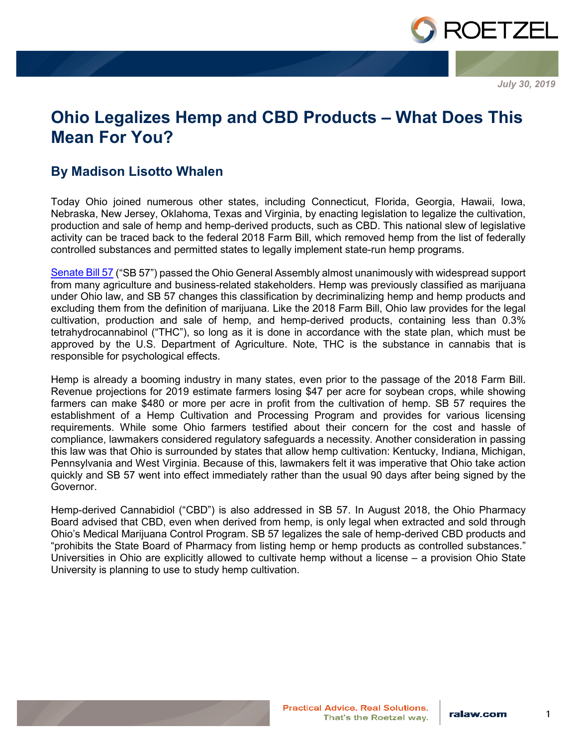

*July 30, 2019*

# **Ohio Legalizes Hemp and CBD Products – What Does This Mean For You?**

# **By Madison Lisotto Whalen**

Today Ohio joined numerous other states, including Connecticut, Florida, Georgia, Hawaii, Iowa, Nebraska, New Jersey, Oklahoma, Texas and Virginia, by enacting legislation to legalize the cultivation, production and sale of hemp and hemp-derived products, such as CBD. This national slew of legislative activity can be traced back to the federal 2018 Farm Bill, which removed hemp from the list of federally controlled substances and permitted states to legally implement state-run hemp programs.

[Senate Bill 57](https://www.legislature.ohio.gov/legislation/legislation-summary?id=GA133-SB-57) ("SB 57") passed the Ohio General Assembly almost unanimously with widespread support from many agriculture and business-related stakeholders. Hemp was previously classified as marijuana under Ohio law, and SB 57 changes this classification by decriminalizing hemp and hemp products and excluding them from the definition of marijuana. Like the 2018 Farm Bill, Ohio law provides for the legal cultivation, production and sale of hemp, and hemp-derived products, containing less than 0.3% tetrahydrocannabinol ("THC"), so long as it is done in accordance with the state plan, which must be approved by the U.S. Department of Agriculture. Note, THC is the substance in cannabis that is responsible for psychological effects.

Hemp is already a booming industry in many states, even prior to the passage of the 2018 Farm Bill. Revenue projections for 2019 estimate farmers losing \$47 per acre for soybean crops, while showing farmers can make \$480 or more per acre in profit from the cultivation of hemp. SB 57 requires the establishment of a Hemp Cultivation and Processing Program and provides for various licensing requirements. While some Ohio farmers testified about their concern for the cost and hassle of compliance, lawmakers considered regulatory safeguards a necessity. Another consideration in passing this law was that Ohio is surrounded by states that allow hemp cultivation: Kentucky, Indiana, Michigan, Pennsylvania and West Virginia. Because of this, lawmakers felt it was imperative that Ohio take action quickly and SB 57 went into effect immediately rather than the usual 90 days after being signed by the Governor.

Hemp-derived Cannabidiol ("CBD") is also addressed in SB 57. In August 2018, the Ohio Pharmacy Board advised that CBD, even when derived from hemp, is only legal when extracted and sold through Ohio's Medical Marijuana Control Program. SB 57 legalizes the sale of hemp-derived CBD products and "prohibits the State Board of Pharmacy from listing hemp or hemp products as controlled substances." Universities in Ohio are explicitly allowed to cultivate hemp without a license – a provision Ohio State University is planning to use to study hemp cultivation.